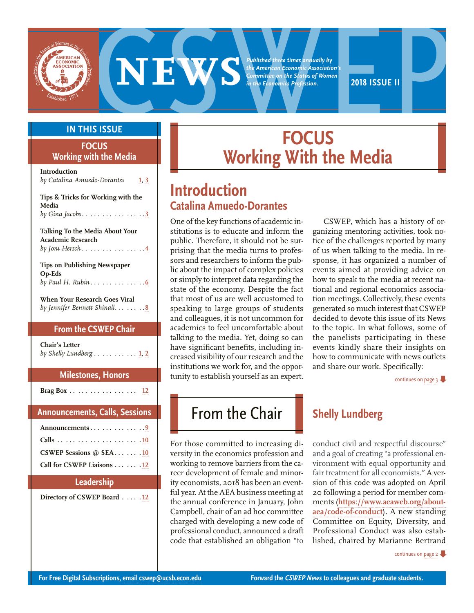<span id="page-0-0"></span>

*Published three times annually by the American Economic Association's Committee on the Status of Women in the Economics Profession.*



#### **IN THIS ISSUE**

#### **FOCUS Working with the Media**

**Introduction**  *by Catalina Amuedo-Dorantes* **1, [3](#page-2-0) Tips & Tricks for Working with the Media** *by Gina Jacobs . . . . . . . . . . . . . . .* **[3](#page-2-0) Talking To the Media About Your Academic Research**  *by Joni Hersch . . . . . . . . . . . . . . .* **[4](#page-3-0) Tips on Publishing Newspaper Op-Eds**  *by Paul H. Rubin . . . . . . . . . . . . .* **[6](#page-5-0) When Your Research Goes Viral**  *by Jennifer Bennett Shinall . . . . . . .* **[8](#page-7-0)**

#### **From the CSWEP Chair**

| Chair's Letter          |  |  |
|-------------------------|--|--|
| by Shelly Lundberg 1, 2 |  |  |

#### **Milestones, Honors Brag Box . . . . . . . . . . . . . . . . . [12](#page-11-0)**

| <b>Announcements, Calls, Sessions</b>                                       |
|-----------------------------------------------------------------------------|
| Announcements9<br>CSWEP Sessions $@$ SEA  .10<br>Call for CSWEP Liaisons 12 |
|                                                                             |

#### **Leadership**

**Directory of CSWEP Board . . . . [12](#page-11-0)**

# **FOCUS Working With the Media**

## **Introduction Catalina Amuedo-Dorantes**

One of the key functions of academic institutions is to educate and inform the public. Therefore, it should not be surprising that the media turns to professors and researchers to inform the public about the impact of complex policies or simply to interpret data regarding the state of the economy. Despite the fact that most of us are well accustomed to speaking to large groups of students and colleagues, it is not uncommon for academics to feel uncomfortable about talking to the media. Yet, doing so can have significant benefits, including increased visibility of our research and the institutions we work for, and the opportunity to establish yourself as an expert.

CSWEP, which has a history of organizing mentoring activities, took notice of the challenges reported by many of us when talking to the media. In response, it has organized a number of events aimed at providing advice on how to speak to the media at recent national and regional economics association meetings. Collectively, these events generated so much interest that CSWEP decided to devote this issue of its News to the topic. In what follows, some of the panelists participating in these events kindly share their insights on how to communicate with news outlets and share our work. Specifically:

[continues on page 3](#page-2-0)

# **From the Chair Shelly Lundberg**

For those committed to increasing diversity in the economics profession and working to remove barriers from the career development of female and minority economists, 2018 has been an eventful year. At the AEA business meeting at the annual conference in January, John Campbell, chair of an ad hoc committee charged with developing a new code of professional conduct, announced a draft code that established an obligation "to

conduct civil and respectful discourse" and a goal of creating "a professional environment with equal opportunity and fair treatment for all economists." A version of this code was adopted on April 20 following a period for member comments (**[https://www.aeaweb.org/about](https://www.aeaweb.org/about-aea/code-of-conduct)[aea/code-of-conduct](https://www.aeaweb.org/about-aea/code-of-conduct)**). A new standing Committee on Equity, Diversity, and Professional Conduct was also established, chaired by Marianne Bertrand

[continues on page 2](#page-1-0)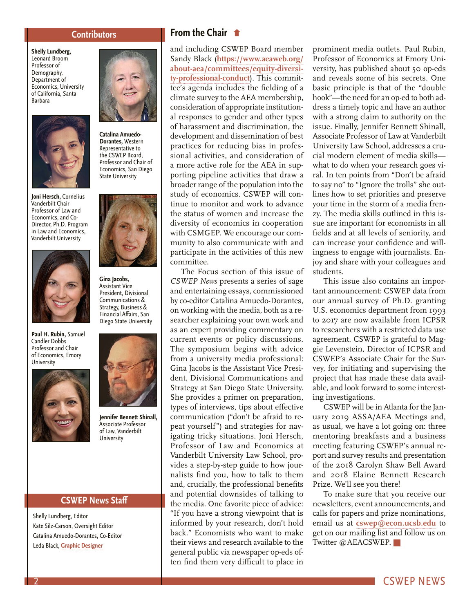#### **Contributors**

<span id="page-1-0"></span>**Shelly Lundberg,**  Leonard Broom Professor of Demography, Department of Economics, University of California, Santa Barbara



**Joni Hersch,** Cornelius Vanderbilt Chair Professor of Law and Economics, and Co-Director, Ph.D. Program in Law and Economics, Vanderbilt University



**Paul H. Rubin,** Samuel Candler Dobbs Professor and Chair of Economics, Emory **University** 





**Catalina Amuedo-Dorantes,** Western Representative to the CSWEP Board, Professor and Chair of Economics, San Diego State University



**Gina Jacobs,**  Assistant Vice President, Divisional Communications & Strategy, Business & Financial Affairs, San Diego State University



**Jennifer Bennett Shinall,** Associate Professor of Law, Vanderbilt **University** 

#### **CSWEP News Staff**

Shelly Lundberg, Editor Kate Silz-Carson, Oversight Editor Catalina Amuedo-Dorantes, Co-Editor Leda Black, **[Graphic Designer](https://www.ledablack.com/)**

#### **[From the Chair](#page-0-0)**

and including CSWEP Board member Sandy Black (**[https://www.aeaweb.org/](https://www.aeaweb.org/about-aea/committees/equity-diversity-professional-conduct) [about-aea/committees/equity-diversi](https://www.aeaweb.org/about-aea/committees/equity-diversity-professional-conduct)[ty-professional-conduct](https://www.aeaweb.org/about-aea/committees/equity-diversity-professional-conduct)**). This committee's agenda includes the fielding of a climate survey to the AEA membership, consideration of appropriate institutional responses to gender and other types of harassment and discrimination, the development and dissemination of best practices for reducing bias in professional activities, and consideration of a more active role for the AEA in supporting pipeline activities that draw a broader range of the population into the study of economics. CSWEP will continue to monitor and work to advance the status of women and increase the diversity of economics in cooperation with CSMGEP. We encourage our community to also communicate with and participate in the activities of this new committee.

The Focus section of this issue of *CSWEP News* presents a series of sage and entertaining essays, commissioned by co-editor Catalina Amuedo-Dorantes, on working with the media, both as a researcher explaining your own work and as an expert providing commentary on current events or policy discussions. The symposium begins with advice from a university media professional: Gina Jacobs is the Assistant Vice President, Divisional Communications and Strategy at San Diego State University. She provides a primer on preparation, types of interviews, tips about effective communication ("don't be afraid to repeat yourself") and strategies for navigating tricky situations. Joni Hersch, Professor of Law and Economics at Vanderbilt University Law School, provides a step-by-step guide to how journalists find you, how to talk to them and, crucially, the professional benefits and potential downsides of talking to the media. One favorite piece of advice: "If you have a strong viewpoint that is informed by your research, don't hold back." Economists who want to make their views and research available to the general public via newspaper op-eds often find them very difficult to place in prominent media outlets. Paul Rubin, Professor of Economics at Emory University, has published about 50 op-eds and reveals some of his secrets. One basic principle is that of the "double hook"—the need for an op-ed to both address a timely topic and have an author with a strong claim to authority on the issue. Finally, Jennifer Bennett Shinall, Associate Professor of Law at Vanderbilt University Law School, addresses a crucial modern element of media skills what to do when your research goes viral. In ten points from "Don't be afraid to say no" to "Ignore the trolls" she outlines how to set priorities and preserve your time in the storm of a media frenzy. The media skills outlined in this issue are important for economists in all fields and at all levels of seniority, and can increase your confidence and willingness to engage with journalists. Enjoy and share with your colleagues and students.

This issue also contains an important announcement: CSWEP data from our annual survey of Ph.D. granting U.S. economics department from 1993 to 2017 are now available from ICPSR to researchers with a restricted data use agreement. CSWEP is grateful to Maggie Levenstein, Director of ICPSR and CSWEP's Associate Chair for the Survey, for initiating and supervising the project that has made these data available, and look forward to some interesting investigations.

CSWEP will be in Atlanta for the January 2019 ASSA/AEA Meetings and, as usual, we have a lot going on: three mentoring breakfasts and a business meeting featuring CSWEP's annual report and survey results and presentation of the 2018 Carolyn Shaw Bell Award and 2018 Elaine Bennett Research Prize. We'll see you there!

To make sure that you receive our newsletters, event announcements, and calls for papers and prize nominations, email us at **[cswep@econ.ucsb.edu](mailto:cswep@econ.ucsb.edu)** to get on our mailing list and follow us on Twitter @AEACSWEP.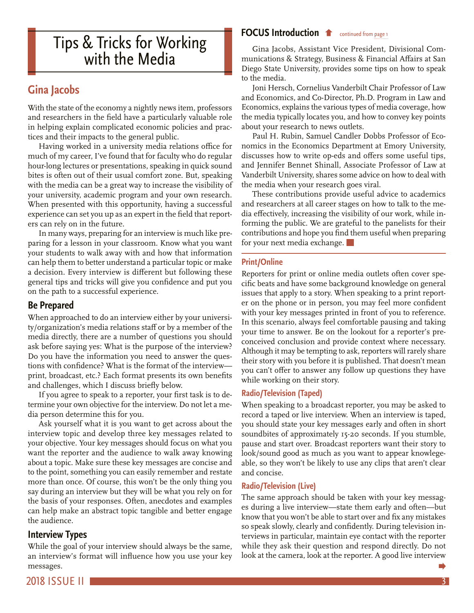# <span id="page-2-0"></span>**[FOCUS Introduction](#page-0-0)**  $\bullet$  continued from page 1<br>
With the Media munications & Strategy, Business & Finance

### **Gina Jacobs**

With the state of the economy a nightly news item, professors and researchers in the field have a particularly valuable role in helping explain complicated economic policies and practices and their impacts to the general public.

Having worked in a university media relations office for much of my career, I've found that for faculty who do regular hour-long lectures or presentations, speaking in quick sound bites is often out of their usual comfort zone. But, speaking with the media can be a great way to increase the visibility of your university, academic program and your own research. When presented with this opportunity, having a successful experience can set you up as an expert in the field that reporters can rely on in the future.

In many ways, preparing for an interview is much like preparing for a lesson in your classroom. Know what you want your students to walk away with and how that information can help them to better understand a particular topic or make a decision. Every interview is different but following these general tips and tricks will give you confidence and put you on the path to a successful experience.

#### **Be Prepared**

When approached to do an interview either by your university/organization's media relations staff or by a member of the media directly, there are a number of questions you should ask before saying yes: What is the purpose of the interview? Do you have the information you need to answer the questions with confidence? What is the format of the interview print, broadcast, etc.? Each format presents its own benefits and challenges, which I discuss briefly below.

If you agree to speak to a reporter, your first task is to determine your own objective for the interview. Do not let a media person determine this for you.

Ask yourself what it is you want to get across about the interview topic and develop three key messages related to your objective. Your key messages should focus on what you want the reporter and the audience to walk away knowing about a topic. Make sure these key messages are concise and to the point, something you can easily remember and restate more than once. Of course, this won't be the only thing you say during an interview but they will be what you rely on for the basis of your responses. Often, anecdotes and examples can help make an abstract topic tangible and better engage the audience.

#### **Interview Types**

While the goal of your interview should always be the same, an interview's format will influence how you use your key messages.

Gina Jacobs, Assistant Vice President, Divisional Communications & Strategy, Business & Financial Affairs at San Diego State University, provides some tips on how to speak to the media.

Joni Hersch, Cornelius Vanderbilt Chair Professor of Law and Economics, and Co-Director, Ph.D. Program in Law and Economics, explains the various types of media coverage, how the media typically locates you, and how to convey key points about your research to news outlets.

Paul H. Rubin, Samuel Candler Dobbs Professor of Economics in the Economics Department at Emory University, discusses how to write op-eds and offers some useful tips, and Jennifer Bennet Shinall, Associate Professor of Law at Vanderbilt University, shares some advice on how to deal with the media when your research goes viral.

These contributions provide useful advice to academics and researchers at all career stages on how to talk to the media effectively, increasing the visibility of our work, while informing the public. We are grateful to the panelists for their contributions and hope you find them useful when preparing for your next media exchange.

#### **Print/Online**

Reporters for print or online media outlets often cover specific beats and have some background knowledge on general issues that apply to a story. When speaking to a print reporter on the phone or in person, you may feel more confident with your key messages printed in front of you to reference. In this scenario, always feel comfortable pausing and taking your time to answer. Be on the lookout for a reporter's preconceived conclusion and provide context where necessary. Although it may be tempting to ask, reporters will rarely share their story with you before it is published. That doesn't mean you can't offer to answer any follow up questions they have while working on their story.

#### **Radio/Television (Taped)**

When speaking to a broadcast reporter, you may be asked to record a taped or live interview. When an interview is taped, you should state your key messages early and often in short soundbites of approximately 15-20 seconds. If you stumble, pause and start over. Broadcast reporters want their story to look/sound good as much as you want to appear knowlegeable, so they won't be likely to use any clips that aren't clear and concise.

#### **Radio/Television (Live)**

The same approach should be taken with your key messages during a live interview—state them early and often—but know that you won't be able to start over and fix any mistakes so speak slowly, clearly and confidently. During television interviews in particular, maintain eye contact with the reporter while they ask their question and respond directly. Do not look at the camera, look at the reporter. A good live interview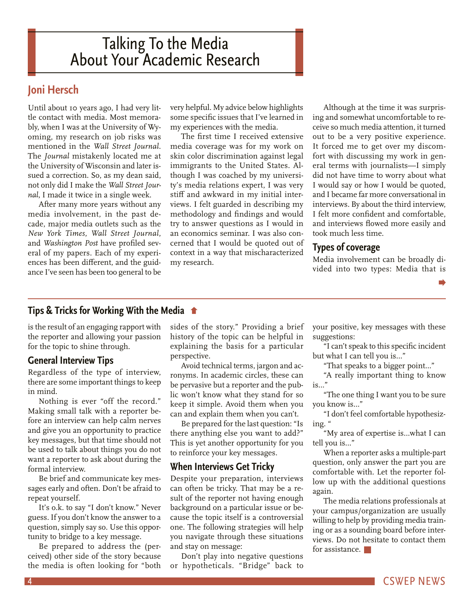# <span id="page-3-0"></span>Talking To the Media About Your Academic Research

### **Joni Hersch**

Until about 10 years ago, I had very little contact with media. Most memorably, when I was at the University of Wyoming, my research on job risks was mentioned in the *Wall Street Journal.* The *Journal* mistakenly located me at the University of Wisconsin and later issued a correction. So, as my dean said, not only did I make the *Wall Street Journal*, I made it twice in a single week.

After many more years without any media involvement, in the past decade, major media outlets such as the *New York Times*, *Wall Street Journal*, and *Washington Post* have profiled several of my papers. Each of my experiences has been different, and the guidance I've seen has been too general to be

very helpful. My advice below highlights some specific issues that I've learned in my experiences with the media.

The first time I received extensive media coverage was for my work on skin color discrimination against legal immigrants to the United States. Although I was coached by my university's media relations expert, I was very stiff and awkward in my initial interviews. I felt guarded in describing my methodology and findings and would try to answer questions as I would in an economics seminar. I was also concerned that I would be quoted out of context in a way that mischaracterized my research.

Although at the time it was surprising and somewhat uncomfortable to receive so much media attention, it turned out to be a very positive experience. It forced me to get over my discomfort with discussing my work in general terms with journalists—I simply did not have time to worry about what I would say or how I would be quoted, and I became far more conversational in interviews. By about the third interview, I felt more confident and comfortable, and interviews flowed more easily and took much less time.

#### **Types of coverage**

Media involvement can be broadly divided into two types: Media that is

**[Tips & Tricks for Working With the Media](#page-2-0)**

is the result of an engaging rapport with the reporter and allowing your passion for the topic to shine through.

#### **General Interview Tips**

Regardless of the type of interview, there are some important things to keep in mind.

Nothing is ever "off the record." Making small talk with a reporter before an interview can help calm nerves and give you an opportunity to practice key messages, but that time should not be used to talk about things you do not want a reporter to ask about during the formal interview.

Be brief and communicate key messages early and often. Don't be afraid to repeat yourself.

It's o.k. to say "I don't know." Never guess. If you don't know the answer to a question, simply say so. Use this opportunity to bridge to a key message.

Be prepared to address the (perceived) other side of the story because the media is often looking for "both sides of the story." Providing a brief history of the topic can be helpful in explaining the basis for a particular perspective.

Avoid technical terms, jargon and acronyms. In academic circles, these can be pervasive but a reporter and the public won't know what they stand for so keep it simple. Avoid them when you can and explain them when you can't.

Be prepared for the last question: "Is there anything else you want to add?" This is yet another opportunity for you to reinforce your key messages.

#### **When Interviews Get Tricky**

Despite your preparation, interviews can often be tricky. That may be a result of the reporter not having enough background on a particular issue or because the topic itself is a controversial one. The following strategies will help you navigate through these situations and stay on message:

Don't play into negative questions or hypotheticals. "Bridge" back to your positive, key messages with these suggestions:

"I can't speak to this specific incident but what I can tell you is…"

"That speaks to a bigger point…"

"A really important thing to know is…"

"The one thing I want you to be sure you know is…"

"I don't feel comfortable hypothesizing. "

"My area of expertise is…what I can tell you is…"

When a reporter asks a multiple-part question, only answer the part you are comfortable with. Let the reporter follow up with the additional questions again.

The media relations professionals at your campus/organization are usually willing to help by providing media training or as a sounding board before interviews. Do not hesitate to contact them for assistance.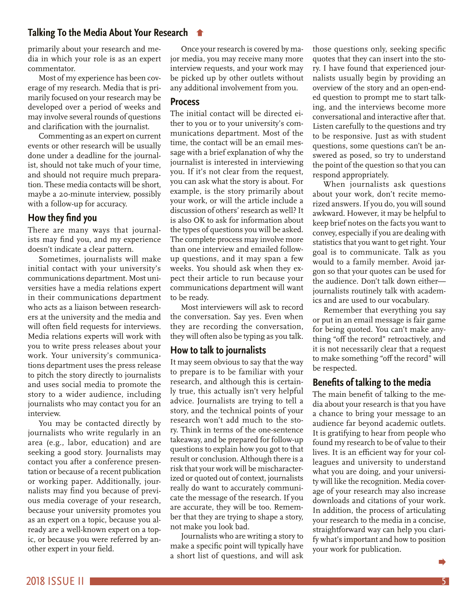#### <span id="page-4-0"></span>**[Talking To the Media About Your Research](#page-3-0)**

primarily about your research and media in which your role is as an expert commentator.

Most of my experience has been coverage of my research. Media that is primarily focused on your research may be developed over a period of weeks and may involve several rounds of questions and clarification with the journalist.

Commenting as an expert on current events or other research will be usually done under a deadline for the journalist, should not take much of your time, and should not require much preparation. These media contacts will be short, maybe a 20-minute interview, possibly with a follow-up for accuracy.

#### **How they find you**

There are many ways that journalists may find you, and my experience doesn't indicate a clear pattern.

Sometimes, journalists will make initial contact with your university's communications department. Most universities have a media relations expert in their communications department who acts as a liaison between researchers at the university and the media and will often field requests for interviews. Media relations experts will work with you to write press releases about your work. Your university's communications department uses the press release to pitch the story directly to journalists and uses social media to promote the story to a wider audience, including journalists who may contact you for an interview.

You may be contacted directly by journalists who write regularly in an area (e.g., labor, education) and are seeking a good story. Journalists may contact you after a conference presentation or because of a recent publication or working paper. Additionally, journalists may find you because of previous media coverage of your research, because your university promotes you as an expert on a topic, because you already are a well-known expert on a topic, or because you were referred by another expert in your field.

Once your research is covered by major media, you may receive many more interview requests, and your work may be picked up by other outlets without any additional involvement from you.

#### **Process**

The initial contact will be directed either to you or to your university's communications department. Most of the time, the contact will be an email message with a brief explanation of why the journalist is interested in interviewing you. If it's not clear from the request, you can ask what the story is about. For example, is the story primarily about your work, or will the article include a discussion of others' research as well? It is also OK to ask for information about the types of questions you will be asked. The complete process may involve more than one interview and emailed followup questions, and it may span a few weeks. You should ask when they expect their article to run because your communications department will want to be ready.

Most interviewers will ask to record the conversation. Say yes. Even when they are recording the conversation, they will often also be typing as you talk.

#### **How to talk to journalists**

It may seem obvious to say that the way to prepare is to be familiar with your research, and although this is certainly true, this actually isn't very helpful advice. Journalists are trying to tell a story, and the technical points of your research won't add much to the story. Think in terms of the one-sentence takeaway, and be prepared for follow-up questions to explain how you got to that result or conclusion. Although there is a risk that your work will be mischaracterized or quoted out of context, journalists really do want to accurately communicate the message of the research. If you are accurate, they will be too. Remember that they are trying to shape a story, not make you look bad.

Journalists who are writing a story to make a specific point will typically have a short list of questions, and will ask those questions only, seeking specific quotes that they can insert into the story. I have found that experienced journalists usually begin by providing an overview of the story and an open-ended question to prompt me to start talking, and the interviews become more conversational and interactive after that. Listen carefully to the questions and try to be responsive. Just as with student questions, some questions can't be answered as posed, so try to understand the point of the question so that you can respond appropriately.

When journalists ask questions about your work, don't recite memorized answers. If you do, you will sound awkward. However, it may be helpful to keep brief notes on the facts you want to convey, especially if you are dealing with statistics that you want to get right. Your goal is to communicate. Talk as you would to a family member. Avoid jargon so that your quotes can be used for the audience. Don't talk down either journalists routinely talk with academics and are used to our vocabulary.

Remember that everything you say or put in an email message is fair game for being quoted. You can't make anything "off the record" retroactively, and it is not necessarily clear that a request to make something "off the record" will be respected.

#### **Benefits of talking to the media**

The main benefit of talking to the media about your research is that you have a chance to bring your message to an audience far beyond academic outlets. It is gratifying to hear from people who found my research to be of value to their lives. It is an efficient way for your colleagues and university to understand what you are doing, and your university will like the recognition. Media coverage of your research may also increase downloads and citations of your work. In addition, the process of articulating your research to the media in a concise, straightforward way can help you clarify what's important and how to position your work for publication.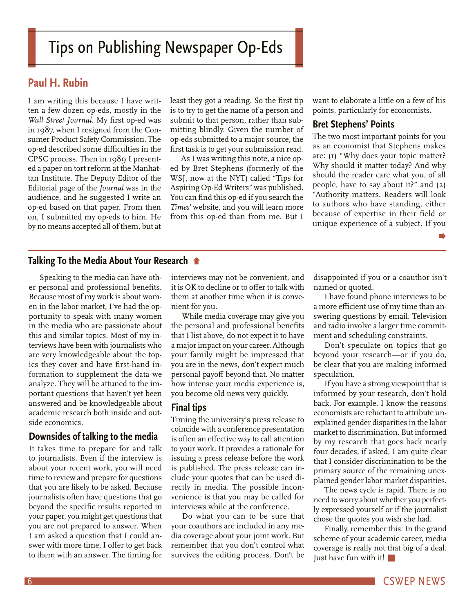# <span id="page-5-0"></span>Tips on Publishing Newspaper Op-Eds

#### **Paul H. Rubin**

I am writing this because I have written a few dozen op-eds, mostly in the *Wall Street Journal*. My first op-ed was in 1987, when I resigned from the Consumer Product Safety Commission. The op-ed described some difficulties in the CPSC process. Then in 1989 I presented a paper on tort reform at the Manhattan Institute. The Deputy Editor of the Editorial page of the *Journal* was in the audience, and he suggested I write an op-ed based on that paper. From then on, I submitted my op-eds to him. He by no means accepted all of them, but at

least they got a reading. So the first tip is to try to get the name of a person and submit to that person, rather than submitting blindly. Given the number of op-eds submitted to a major source, the first task is to get your submission read.

As I was writing this note, a nice oped by Bret Stephens (formerly of the WSJ, now at the NYT) called "Tips for Aspiring Op-Ed Writers" was published. You can find this op-ed if you search the *Times'* website, and you will learn more from this op-ed than from me. But I

want to elaborate a little on a few of his points, particularly for economists.

#### **Bret Stephens' Points**

The two most important points for you as an economist that Stephens makes are: (1) "Why does your topic matter? Why should it matter today? And why should the reader care what you, of all people, have to say about it?" and (2) "Authority matters. Readers will look to authors who have standing, either because of expertise in their field or unique experience of a subject. If you

#### **[Talking To the Media About Your Research](#page-4-0)**

Speaking to the media can have other personal and professional benefits. Because most of my work is about women in the labor market, I've had the opportunity to speak with many women in the media who are passionate about this and similar topics. Most of my interviews have been with journalists who are very knowledgeable about the topics they cover and have first-hand information to supplement the data we analyze. They will be attuned to the important questions that haven't yet been answered and be knowledgeable about academic research both inside and outside economics.

#### **Downsides of talking to the media**

It takes time to prepare for and talk to journalists. Even if the interview is about your recent work, you will need time to review and prepare for questions that you are likely to be asked. Because journalists often have questions that go beyond the specific results reported in your paper, you might get questions that you are not prepared to answer. When I am asked a question that I could answer with more time, I offer to get back to them with an answer. The timing for interviews may not be convenient, and it is OK to decline or to offer to talk with them at another time when it is convenient for you.

While media coverage may give you the personal and professional benefits that I list above, do not expect it to have a major impact on your career. Although your family might be impressed that you are in the news, don't expect much personal payoff beyond that. No matter how intense your media experience is, you become old news very quickly.

#### **Final tips**

Timing the university's press release to coincide with a conference presentation is often an effective way to call attention to your work. It provides a rationale for issuing a press release before the work is published. The press release can include your quotes that can be used directly in media. The possible inconvenience is that you may be called for interviews while at the conference.

Do what you can to be sure that your coauthors are included in any media coverage about your joint work. But remember that you don't control what survives the editing process. Don't be

disappointed if you or a coauthor isn't named or quoted.

I have found phone interviews to be a more efficient use of my time than answering questions by email. Television and radio involve a larger time commitment and scheduling constraints.

Don't speculate on topics that go beyond your research—or if you do, be clear that you are making informed speculation.

If you have a strong viewpoint that is informed by your research, don't hold back. For example, I know the reasons economists are reluctant to attribute unexplained gender disparities in the labor market to discrimination. But informed by my research that goes back nearly four decades, if asked, I am quite clear that I consider discrimination to be the primary source of the remaining unexplained gender labor market disparities.

The news cycle is rapid. There is no need to worry about whether you perfectly expressed yourself or if the journalist chose the quotes you wish she had.

Finally, remember this: In the grand scheme of your academic career, media coverage is really not that big of a deal. Just have fun with it!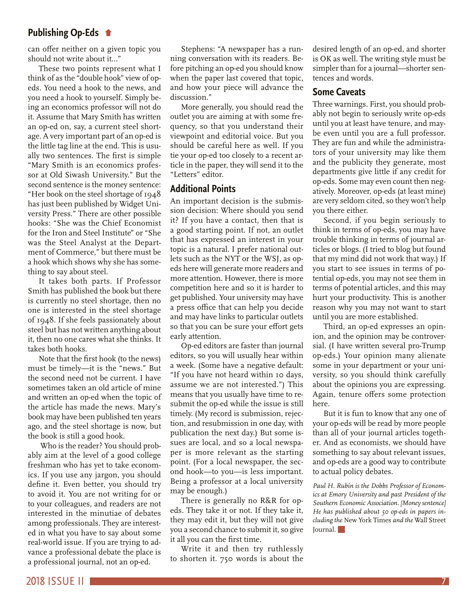#### **Publishing Op-Eds**

[can offer neither on a given topic you](#page-5-0)  should not write about it…"

These two points represent what I think of as the "double hook" view of opeds. You need a hook to the news, and you need a hook to yourself. Simply being an economics professor will not do it. Assume that Mary Smith has written an op-ed on, say, a current steel shortage. A very important part of an op-ed is the little tag line at the end. This is usually two sentences. The first is simple "Mary Smith is an economics professor at Old Siwash University." But the second sentence is the money sentence: "Her book on the steel shortage of 1948 has just been published by Widget University Press." There are other possible hooks: "She was the Chief Economist for the Iron and Steel Institute" or "She was the Steel Analyst at the Department of Commerce," but there must be a hook which shows why she has something to say about steel.

It takes both parts. If Professor Smith has published the book but there is currently no steel shortage, then no one is interested in the steel shortage of 1948. If she feels passionately about steel but has not written anything about it, then no one cares what she thinks. It takes both hooks.

Note that the first hook (to the news) must be timely—it is the "news." But the second need not be current. I have sometimes taken an old article of mine and written an op-ed when the topic of the article has made the news. Mary's book may have been published ten years ago, and the steel shortage is now, but the book is still a good hook.

 Who is the reader? You should probably aim at the level of a good college freshman who has yet to take economics. If you use any jargon, you should define it. Even better, you should try to avoid it. You are not writing for or to your colleagues, and readers are not interested in the minutiae of debates among professionals. They are interested in what you have to say about some real-world issue. If you are trying to advance a professional debate the place is a professional journal, not an op-ed.

Stephens: "A newspaper has a running conversation with its readers. Before pitching an op-ed you should know when the paper last covered that topic, and how your piece will advance the discussion."

More generally, you should read the outlet you are aiming at with some frequency, so that you understand their viewpoint and editorial voice. But you should be careful here as well. If you tie your op-ed too closely to a recent article in the paper, they will send it to the "Letters" editor.

#### **Additional Points**

An important decision is the submission decision: Where should you send it? If you have a contact, then that is a good starting point. If not, an outlet that has expressed an interest in your topic is a natural. I prefer national outlets such as the NYT or the WSJ, as opeds here will generate more readers and more attention. However, there is more competition here and so it is harder to get published. Your university may have a press office that can help you decide and may have links to particular outlets so that you can be sure your effort gets early attention.

Op-ed editors are faster than journal editors, so you will usually hear within a week. (Some have a negative default: "If you have not heard within 10 days, assume we are not interested.") This means that you usually have time to resubmit the op-ed while the issue is still timely. (My record is submission, rejection, and resubmission in one day, with publication the next day.) But some issues are local, and so a local newspaper is more relevant as the starting point. (For a local newspaper, the second hook—to you—is less important. Being a professor at a local university may be enough.)

There is generally no R&R for opeds. They take it or not. If they take it, they may edit it, but they will not give you a second chance to submit it, so give it all you can the first time.

Write it and then try ruthlessly to shorten it. 750 words is about the desired length of an op-ed, and shorter is OK as well. The writing style must be simpler than for a journal—shorter sentences and words.

#### **Some Caveats**

Three warnings. First, you should probably not begin to seriously write op-eds until you at least have tenure, and maybe even until you are a full professor. They are fun and while the administrators of your university may like them and the publicity they generate, most departments give little if any credit for op-eds. Some may even count then negatively. Moreover, op-eds (at least mine) are very seldom cited, so they won't help you there either.

Second, if you begin seriously to think in terms of op-eds, you may have trouble thinking in terms of journal articles or blogs. (I tried to blog but found that my mind did not work that way.) If you start to see issues in terms of potential op-eds, you may not see them in terms of potential articles, and this may hurt your productivity. This is another reason why you may not want to start until you are more established.

Third, an op-ed expresses an opinion, and the opinion may be controversial. (I have written several pro-Trump op-eds.) Your opinion many alienate some in your department or your university, so you should think carefully about the opinions you are expressing. Again, tenure offers some protection here.

But it is fun to know that any one of your op-eds will be read by more people than all of your journal articles together. And as economists, we should have something to say about relevant issues, and op-eds are a good way to contribute to actual policy debates.

*Paul H. Rubin is the Dobbs Professor of Economics at Emory University and past President of the Southern Economic Association. [Money sentence] He has published about 50 op-eds in papers including the* New York Times *and the* Wall Street Journal.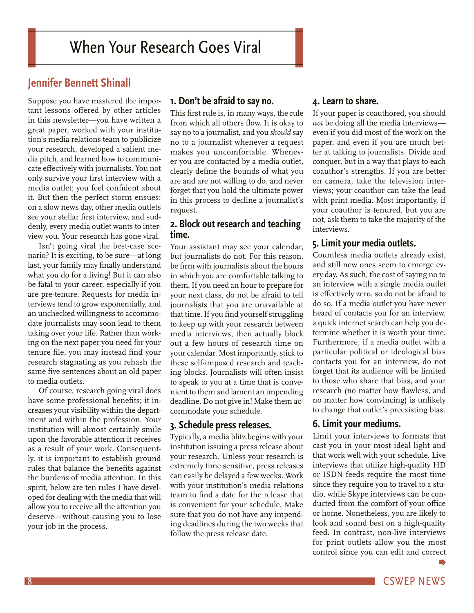#### <span id="page-7-0"></span>**Jennifer Bennett Shinall**

Suppose you have mastered the important lessons offered by other articles in this newsletter—you have written a great paper, worked with your institution's media relations team to publicize your research, developed a salient media pitch, and learned how to communicate effectively with journalists. You not only survive your first interview with a media outlet; you feel confident about it. But then the perfect storm ensues: on a slow news day, other media outlets see your stellar first interview, and suddenly, every media outlet wants to interview you. Your research has gone viral.

Isn't going viral the best-case scenario? It is exciting, to be sure—at long last, your family may finally understand what you do for a living! But it can also be fatal to your career, especially if you are pre-tenure. Requests for media interviews tend to grow exponentially, and an unchecked willingness to accommodate journalists may soon lead to them taking over your life. Rather than working on the next paper you need for your tenure file, you may instead find your research stagnating as you rehash the same five sentences about an old paper to media outlets.

Of course, research going viral does have some professional benefits; it increases your visibility within the department and within the profession. Your institution will almost certainly smile upon the favorable attention it receives as a result of your work. Consequently, it is important to establish ground rules that balance the benefits against the burdens of media attention. In this spirit, below are ten rules I have developed for dealing with the media that will allow you to receive all the attention you deserve—without causing you to lose your job in the process.

#### **1. Don't be afraid to say no.**

This first rule is, in many ways, the rule from which all others flow. It is okay to say no to a journalist, and you *should* say no to a journalist whenever a request makes you uncomfortable. Whenever you are contacted by a media outlet, clearly define the bounds of what you are and are not willing to do, and never forget that you hold the ultimate power in this process to decline a journalist's request.

#### **2. Block out research and teaching time.**

Your assistant may see your calendar, but journalists do not. For this reason, be firm with journalists about the hours in which you are comfortable talking to them. If you need an hour to prepare for your next class, do not be afraid to tell journalists that you are unavailable at that time. If you find yourself struggling to keep up with your research between media interviews, then actually block out a few hours of research time on your calendar. Most importantly, stick to these self-imposed research and teaching blocks. Journalists will often insist to speak to you at a time that is convenient to them and lament an impending deadline. Do not give in! Make them accommodate your schedule.

#### **3. Schedule press releases.**

Typically, a media blitz begins with your institution issuing a press release about your research. Unless your research is extremely time sensitive, press releases can easily be delayed a few weeks. Work with your institution's media relations team to find a date for the release that is convenient for your schedule. Make sure that you do not have any impending deadlines during the two weeks that follow the press release date.

#### **4. Learn to share.**

If your paper is coauthored, you should *not* be doing all the media interviews even if you did most of the work on the paper, and even if you are much better at talking to journalists. Divide and conquer, but in a way that plays to each coauthor's strengths. If you are better on camera, take the television interviews; your coauthor can take the lead with print media. Most importantly, if your coauthor is tenured, but you are not, ask them to take the majority of the interviews.

#### **5. Limit your media outlets.**

Countless media outlets already exist, and still new ones seem to emerge every day. As such, the cost of saying no to an interview with a single media outlet is effectively zero, so do not be afraid to do so. If a media outlet you have never heard of contacts you for an interview, a quick internet search can help you determine whether it is worth your time. Furthermore, if a media outlet with a particular political or ideological bias contacts you for an interview, do not forget that its audience will be limited to those who share that bias, and your research (no matter how flawless, and no matter how convincing) is unlikely to change that outlet's preexisting bias.

#### **6. Limit your mediums.**

Limit your interviews to formats that cast you in your most ideal light and that work well with your schedule. Live interviews that utilize high-quality HD or ISDN feeds require the most time since they require you to travel to a studio, while Skype interviews can be conducted from the comfort of your office or home. Nonetheless, you are likely to look and sound best on a high-quality feed. In contrast, non-live interviews for print outlets allow you the most control since you can edit and correct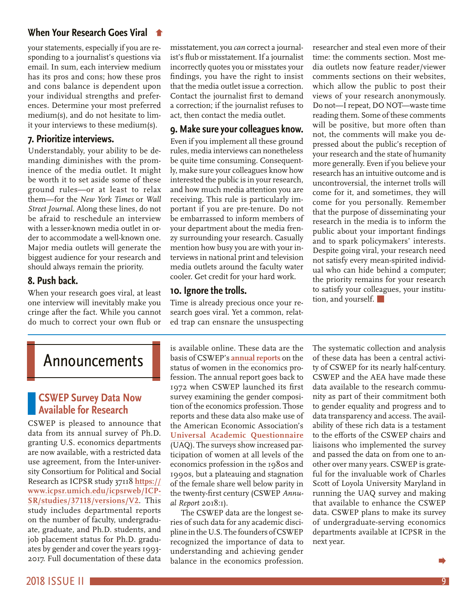#### <span id="page-8-0"></span>**[When Your Research Goes Viral](#page-7-0)**

your statements, especially if you are responding to a journalist's questions via email. In sum, each interview medium has its pros and cons; how these pros and cons balance is dependent upon your individual strengths and preferences. Determine your most preferred medium(s), and do not hesitate to limit your interviews to these medium(s).

#### **7. Prioritize interviews.**

Understandably, your ability to be demanding diminishes with the prominence of the media outlet. It might be worth it to set aside some of these ground rules—or at least to relax them—for the *New York Times* or *Wall Street Journal*. Along these lines, do not be afraid to reschedule an interview with a lesser-known media outlet in order to accommodate a well-known one. Major media outlets will generate the biggest audience for your research and should always remain the priority.

#### **8. Push back.**

When your research goes viral, at least one interview will inevitably make you cringe after the fact. While you cannot do much to correct your own flub or

misstatement, you *can* correct a journalist's flub or misstatement. If a journalist incorrectly quotes you or misstates your findings, you have the right to insist that the media outlet issue a correction. Contact the journalist first to demand a correction; if the journalist refuses to act, then contact the media outlet.

#### **9. Make sure your colleagues know.**

Even if you implement all these ground rules, media interviews can nonetheless be quite time consuming. Consequently, make sure your colleagues know how interested the public is in your research, and how much media attention you are receiving. This rule is particularly important if you are pre-tenure. Do not be embarrassed to inform members of your department about the media frenzy surrounding your research. Casually mention how busy you are with your interviews in national print and television media outlets around the faculty water cooler. Get credit for your hard work.

#### **10. Ignore the trolls.**

Time is already precious once your research goes viral. Yet a common, related trap can ensnare the unsuspecting researcher and steal even more of their time: the comments section. Most media outlets now feature reader/viewer comments sections on their websites, which allow the public to post their views of your research anonymously. Do not—I repeat, DO NOT—waste time reading them. Some of these comments will be positive, but more often than not, the comments will make you depressed about the public's reception of your research and the state of humanity more generally. Even if you believe your research has an intuitive outcome and is uncontroversial, the internet trolls will come for it, and sometimes, they will come for you personally. Remember that the purpose of disseminating your research in the media is to inform the public about your important findings and to spark policymakers' interests. Despite going viral, your research need not satisfy every mean-spirited individual who can hide behind a computer; the priority remains for your research to satisfy your colleagues, your institution, and yourself.

## Announcements

#### **CSWEP Survey Data Now Available for Research**

CSWEP is pleased to announce that data from its annual survey of Ph.D. granting U.S. economics departments are now available, with a restricted data use agreement, from the Inter-university Consortium for Political and Social Research as ICPSR study 37118 **[https://](https://www.icpsr.umich.edu/icpsrweb/ICPSR/studies/37118/versions/V2) [www.icpsr.umich.edu/icpsrweb/ICP-](https://www.icpsr.umich.edu/icpsrweb/ICPSR/studies/37118/versions/V2)[SR/studies/37118/versions/V2](https://www.icpsr.umich.edu/icpsrweb/ICPSR/studies/37118/versions/V2)**. This study includes departmental reports on the number of faculty, undergraduate, graduate, and Ph.D. students, and job placement status for Ph.D. graduates by gender and cover the years 1993- 2017. Full documentation of these data

is available online. These data are the basis of CSWEP's **[annual reports](https://www.aeaweb.org/about-aea/committees/cswep/survey/annual-reports)** on the status of women in the economics profession. The annual report goes back to 1972 when CSWEP launched its first survey examining the gender composition of the economics profession. Those reports and these data also make use of the American Economic Association's **[Universal Academic Questionnaire](https://www.aeaweb.org/uaq)** (UAQ). The surveys show increased participation of women at all levels of the economics profession in the 1980s and 1990s, but a plateauing and stagnation of the female share well below parity in the twenty-first century (CSWEP *Annual Report* 2018:1).

The CSWEP data are the longest series of such data for any academic discipline in the U.S. The founders of CSWEP recognized the importance of data to understanding and achieving gender balance in the economics profession.

The systematic collection and analysis of these data has been a central activity of CSWEP for its nearly half-century. CSWEP and the AEA have made these data available to the research community as part of their commitment both to gender equality and progress and to data transparency and access. The availability of these rich data is a testament to the efforts of the CSWEP chairs and liaisons who implemented the survey and passed the data on from one to another over many years. CSWEP is grateful for the invaluable work of Charles Scott of Loyola University Maryland in running the UAQ survey and making that available to enhance the CSWEP data. CSWEP plans to make its survey of undergraduate-serving economics departments available at ICPSR in the next year.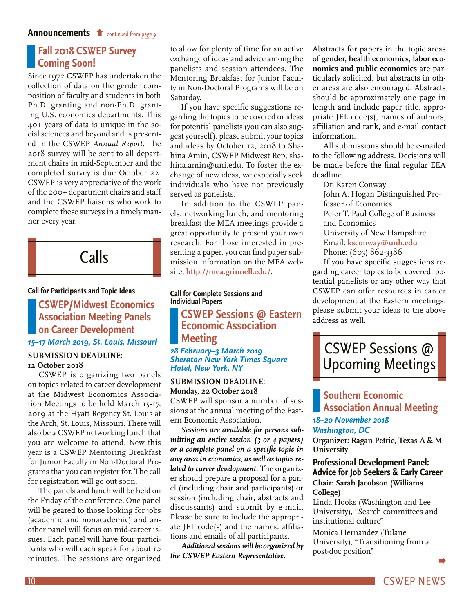#### <span id="page-9-0"></span>**[Fall 2018 CSWEP Survey](#page-8-0)  Coming Soon!**

Since 1972 CSWEP has undertaken the collection of data on the gender composition of faculty and students in both Ph.D. granting and non-Ph.D. granting U.S. economics departments. This 40+ years of data is unique in the social sciences and beyond and is presented in the CSWEP *[Annual Report](https://www.aeaweb.org/about-aea/committees/cswep/survey/annual-reports)*. The 2018 survey will be sent to all department chairs in mid-September and the completed survey is due October 22. CSWEP is very appreciative of the work of the 200+ department chairs and staff and the CSWEP liaisons who work to complete these surveys in a timely manner every year.

Calls

#### **Call for Participants and Topic Ideas**

**CSWEP/Midwest Economics Association Meeting Panels on Career Development** *15–17 March 2019, St. Louis, Missouri* 

#### **SUBMISSION DEADLINE: 12 October 2018**

CSWEP is organizing two panels on topics related to career development at the Midwest Economics Association Meetings to be held March 15-17, 2019 at the Hyatt Regency St. Louis at the Arch, St. Louis, Missouri*.* There will also be a CSWEP networking lunch that you are welcome to attend. New this year is a CSWEP Mentoring Breakfast for Junior Faculty in Non-Doctoral Programs that you can register for. The call for registration will go out soon.

The panels and lunch will be held on the Friday of the conference. One panel will be geared to those looking for jobs (academic and nonacademic) and another panel will focus on mid-career issues. Each panel will have four participants who will each speak for about 10 minutes. The sessions are organized

to allow for plenty of time for an active exchange of ideas and advice among the panelists and session attendees. The Mentoring Breakfast for Junior Faculty in Non-Doctoral Programs will be on Saturday.

If you have specific suggestions regarding the topics to be covered or ideas for potential panelists (you can also suggest yourself), please submit your topics and ideas by October 12, 2018 to Shahina Amin, CSWEP Midwest Rep, [sha](mailto:shahina.amin@uni.edu)[hina.amin@uni.edu.](mailto:shahina.amin@uni.edu) To foster the exchange of new ideas, we especially seek individuals who have not previously served as panelists.

In addition to the CSWEP panels, networking lunch, and mentoring breakfast the MEA meetings provide a great opportunity to present your own research. For those interested in presenting a paper, you can find paper submission information on the MEA website, **[http://mea.grinnell.edu](http://mea.grinnell.edu/)/**.

#### **Call for Complete Sessions and Individual Papers CSWEP Sessions @ Eastern Economic Association**

#### **Meeting** *28 February–3 March 2019 Sheraton New York Times Square Hotel, New York, NY*

#### **SUBMISSION DEADLINE: Monday, 22 October 2018**

CSWEP will sponsor a number of sessions at the annual meeting of the Eastern Economic Association.

*Sessions are available for persons submitting an entire session (3 or 4 papers) or a complete panel on a specific topic in any area in economics, as well as topics related to career development.* The organizer should prepare a proposal for a panel (including chair and participants) or session (including chair, abstracts and discussants) and submit by e-mail. Please be sure to include the appropriate JEL code(s) and the names, affiliations and emails of all participants.

*Additional sessions will be organized by the CSWEP Eastern Representative.* 

Abstracts for papers in the topic areas of **gender, health economics, labor economics and public economics** are particularly solicited, but abstracts in other areas are also encouraged. Abstracts should be approximately one page in length and include paper title, appropriate JEL code(s), names of authors, affiliation and rank, and e-mail contact information.

All submissions should be e-mailed to the following address. Decisions will be made before the final regular EEA deadline.

Dr. Karen Conway John A. Hogan Distinguished Professor of Economics Peter T. Paul College of Business and Economics University of New Hampshire Email: **[ksconway@unh.edu](mailto:ksconway@unh.edu)** Phone: (603) 862-3386

If you have specific suggestions regarding career topics to be covered, potential panelists or any other way that CSWEP can offer resources in career development at the Eastern meetings, please submit your ideas to the above address as well.

# CSWEP Sessions @ Upcoming Meetings

#### **Southern Economic Association Annual Meeting** *18–20 November 2018*

#### *Washington, DC*

**Organizer: Ragan Petrie, Texas A & M University**

#### **Professional Development Panel: Advice for Job Seekers & Early Career Chair: Sarah Jacobson (Williams**

#### **College)**

Linda Hooks (Washington and Lee University), "Search committees and institutional culture"

Monica Hernandez (Tulane University), "Transitioning from a post-doc position"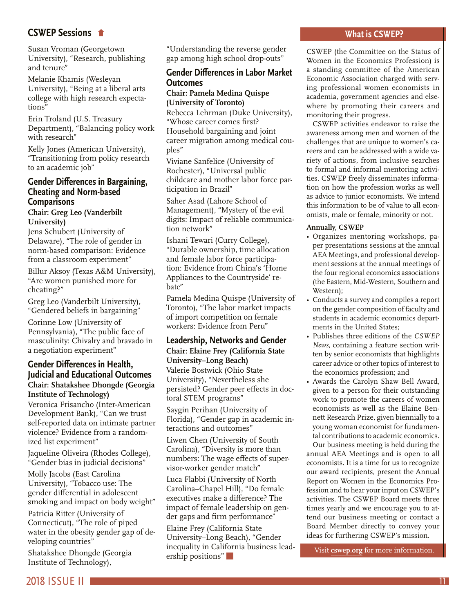#### **CSWEP Sessions**

[Susan Vroman \(Georgetown](#page-9-0)  University), "Research, publishing and tenure"

Melanie Khamis (Wesleyan University), "Being at a liberal arts college with high research expectations"

Erin Troland (U.S. Treasury Department), "Balancing policy work with research"

Kelly Jones (American University), "Transitioning from policy research to an academic job"

#### **Gender Differences in Bargaining, Cheating and Norm-based Comparisons**

#### **Chair: Greg Leo (Vanderbilt University)**

Jens Schubert (University of Delaware), "The role of gender in norm-based comparison: Evidence from a classroom experiment"

Billur Aksoy (Texas A&M University), "Are women punished more for cheating?"

Greg Leo (Vanderbilt University), "Gendered beliefs in bargaining"

Corinne Low (University of Pennsylvania), "The public face of masculinity: Chivalry and bravado in a negotiation experiment"

#### **Gender Differences in Health, Judicial and Educational Outcomes Chair: Shatakshee Dhongde (Georgia Institute of Technology)**

Veronica Frisancho (Inter-American Development Bank), "Can we trust self-reported data on intimate partner violence? Evidence from a randomized list experiment"

Jaqueline Oliveira (Rhodes College), "Gender bias in judicial decisions"

Molly Jacobs (East Carolina University), "Tobacco use: The gender differential in adolescent smoking and impact on body weight"

Patricia Ritter (University of Connecticut), "The role of piped water in the obesity gender gap of developing countries"

Shatakshee Dhongde (Georgia Institute of Technology),

"Understanding the reverse gender gap among high school drop-outs"

#### **Gender Differences in Labor Market Outcomes**

#### **Chair: Pamela Medina Quispe (University of Toronto)**

Rebecca Lehrman (Duke University), "Whose career comes first? Household bargaining and joint career migration among medical couples"

Viviane Sanfelice (University of Rochester), "Universal public childcare and mother labor force participation in Brazil"

Saher Asad (Lahore School of Management), "Mystery of the evil digits: Impact of reliable communication network"

Ishani Tewari (Curry College), "Durable ownership, time allocation and female labor force participation: Evidence from China's 'Home Appliances to the Countryside' rebate"

Pamela Medina Quispe (University of Toronto), "The labor market impacts of import competition on female workers: Evidence from Peru"

#### **Leadership, Networks and Gender Chair: Elaine Frey (California State University–Long Beach)**

Valerie Bostwick (Ohio State University), "Nevertheless she persisted? Gender peer effects in doctoral STEM programs"

Saygin Perihan (University of Florida), "Gender gap in academic interactions and outcomes"

Liwen Chen (University of South Carolina), "Diversity is more than numbers: The wage effects of supervisor-worker gender match"

Luca Flabbi (University of North Carolina–Chapel Hill), "Do female executives make a difference? The impact of female leadership on gender gaps and firm performance"

Elaine Frey (California State University–Long Beach), "Gender inequality in California business leadership positions"

#### **What is CSWEP?**

CSWEP (the Committee on the Status of Women in the Economics Profession) is a standing committee of the American Economic Association charged with serving professional women economists in academia, government agencies and elsewhere by promoting their careers and monitoring their progress.

CSWEP activities endeavor to raise the awareness among men and women of the challenges that are unique to women's careers and can be addressed with a wide variety of actions, from inclusive searches to formal and informal mentoring activities. CSWEP freely disseminates information on how the profession works as well as advice to junior economists. We intend this information to be of value to all economists, male or female, minority or not.

#### **Annually, CSWEP**

- Organizes mentoring workshops, paper presentations sessions at the annual AEA Meetings, and professional development sessions at the annual meetings of the four regional economics associations (the Eastern, Mid-Western, Southern and Western);
- Conducts a survey and compiles a report on the gender composition of faculty and students in academic economics departments in the United States;
- Publishes three editions of the *CSWEP News,* containing a feature section written by senior economists that highlights career advice or other topics of interest to the economics profession; and
- Awards the Carolyn Shaw Bell Award, given to a person for their outstanding work to promote the careers of women economists as well as the Elaine Bennett Research Prize, given biennially to a young woman economist for fundamental contributions to academic economics. Our business meeting is held during the

annual AEA Meetings and is open to all economists. It is a time for us to recognize our award recipients, present the Annual Report on Women in the Economics Profession and to hear your input on CSWEP's activities. The CSWEP Board meets three times yearly and we encourage you to attend our business meeting or contact a Board Member directly to convey your ideas for furthering CSWEP's mission.

Visit **[cswep.org](http://www.aeaweb.org/committees/cswep/)** for more information.